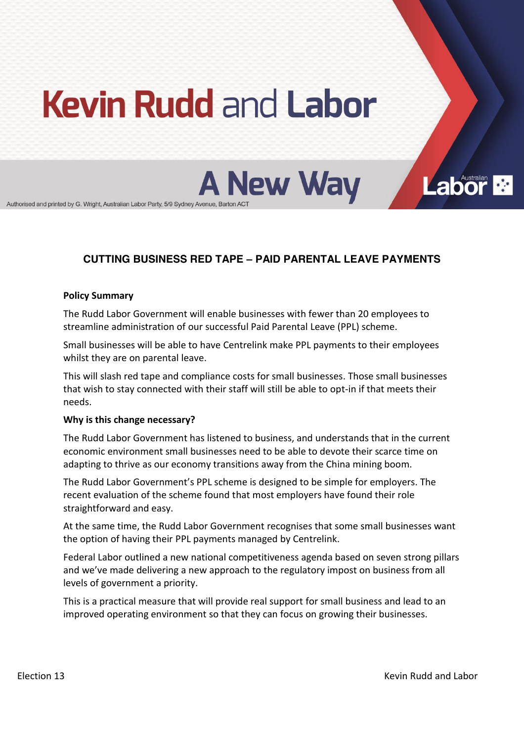# **Kevin Rudd and Labor**

**A New Way** 

Authorised and printed by G. Wright, Australian Labor Party, 5/9 Sydney Avenue, Barton ACT

# **CUTTING BUSINESS RED TAPE ± PAID PARENTAL LEAVE PAYMENTS**

#### **Policy Summary**

The Rudd Labor Government will enable businesses with fewer than 20 employees to streamline administration of our successful Paid Parental Leave (PPL) scheme.

Small businesses will be able to have Centrelink make PPL payments to their employees whilst they are on parental leave.

This will slash red tape and compliance costs for small businesses. Those small businesses that wish to stay connected with their staff will still be able to opt-in if that meets their needs.

### **Why is this change necessary?**

The Rudd Labor Government has listened to business, and understands that in the current economic environment small businesses need to be able to devote their scarce time on adapting to thrive as our economy transitions away from the China mining boom.

The Rudd Labor Government's PPL scheme is designed to be simple for employers. The recent evaluation of the scheme found that most employers have found their role straightforward and easy.

At the same time, the Rudd Labor Government recognises that some small businesses want the option of having their PPL payments managed by Centrelink.

Federal Labor outlined a new national competitiveness agenda based on seven strong pillars and we've made delivering a new approach to the regulatory impost on business from all levels of government a priority.

This is a practical measure that will provide real support for small business and lead to an improved operating environment so that they can focus on growing their businesses.

Labor<sub>dian</sub>